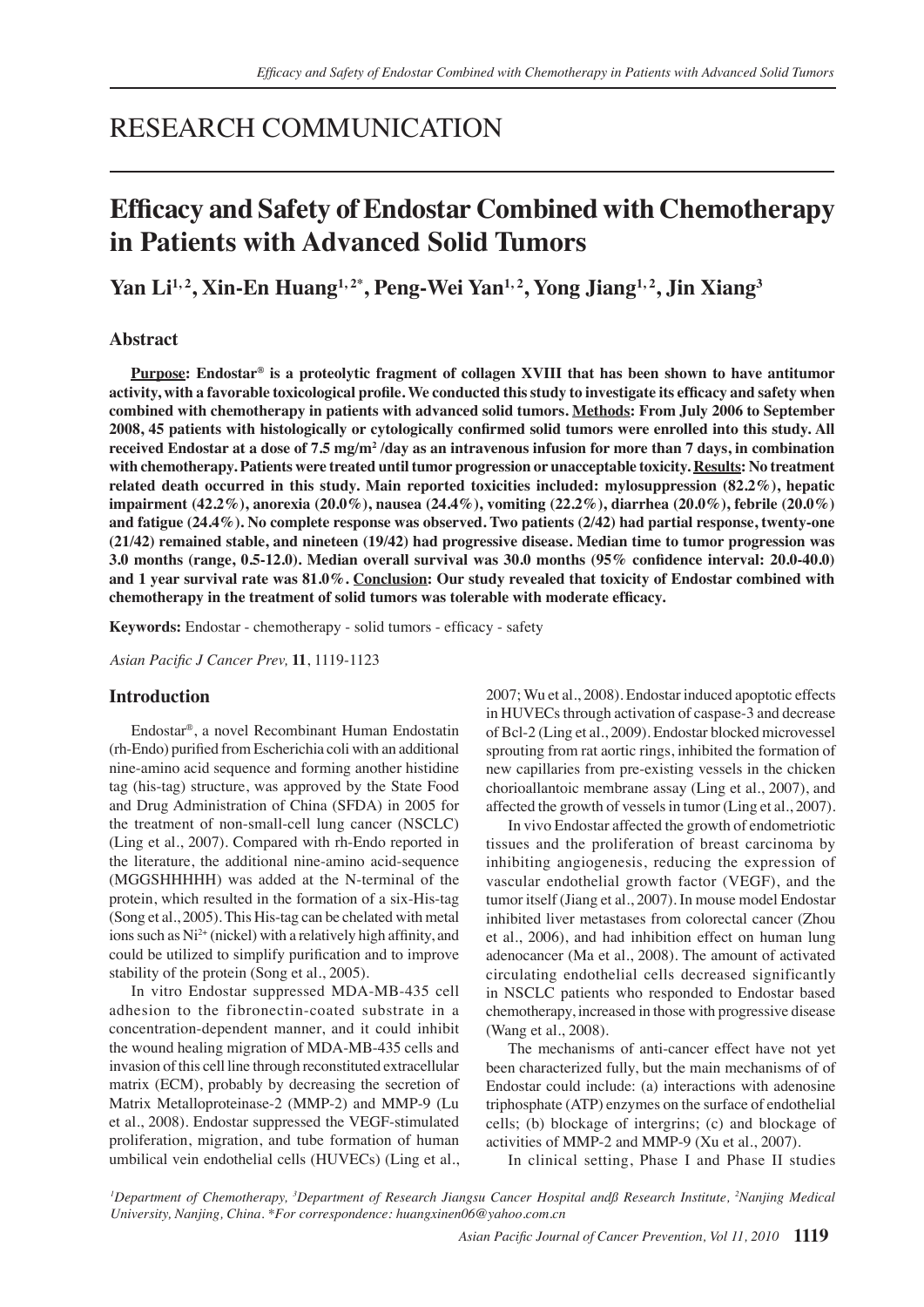## RESEARCH COMMUNICATION

# **Efficacy and Safety of Endostar Combined with Chemotherapy in Patients with Advanced Solid Tumors**

Yan Li<sup>1,2</sup>**, Xin-En Huang**<sup>1,2\*</sup>**, Peng-Wei Yan**<sup>1,2</sup>**, Yong Jiang**<sup>1,2</sup>**, Jin Xiang**<sup>3</sup>

## **Abstract**

**Purpose: Endostar® is a proteolytic fragment of collagen XVIII that has been shown to have antitumor activity, with a favorable toxicological profile. We conducted this study to investigate its efficacy and safety when combined with chemotherapy in patients with advanced solid tumors. Methods: From July 2006 to September 2008, 45 patients with histologically or cytologically confirmed solid tumors were enrolled into this study. All received Endostar at a dose of 7.5 mg/m<sup>2</sup> /day as an intravenous infusion for more than 7 days, in combination with chemotherapy. Patients were treated until tumor progression or unacceptable toxicity. Results: No treatment related death occurred in this study. Main reported toxicities included: mylosuppression (82.2%), hepatic impairment (42.2%), anorexia (20.0%), nausea (24.4%), vomiting (22.2%), diarrhea (20.0%), febrile (20.0%) and fatigue (24.4%). No complete response was observed. Two patients (2/42) had partial response, twenty-one (21/42) remained stable, and nineteen (19/42) had progressive disease. Median time to tumor progression was 3.0 months (range, 0.5-12.0). Median overall survival was 30.0 months (95% confidence interval: 20.0-40.0) and 1 year survival rate was 81.0%. Conclusion: Our study revealed that toxicity of Endostar combined with chemotherapy in the treatment of solid tumors was tolerable with moderate efficacy.** 

**Keywords:** Endostar - chemotherapy - solid tumors - efficacy - safety

*Asian Pacific J Cancer Prev,* **11**, 1119-1123

#### **Introduction**

Endostar®, a novel Recombinant Human Endostatin (rh-Endo) purified from Escherichia coli with an additional nine-amino acid sequence and forming another histidine tag (his-tag) structure, was approved by the State Food and Drug Administration of China (SFDA) in 2005 for the treatment of non-small-cell lung cancer (NSCLC) (Ling et al., 2007). Compared with rh-Endo reported in the literature, the additional nine-amino acid-sequence (MGGSHHHHH) was added at the N-terminal of the protein, which resulted in the formation of a six-His-tag (Song et al., 2005). This His-tag can be chelated with metal ions such as  $Ni<sup>2+</sup>$  (nickel) with a relatively high affinity, and could be utilized to simplify purification and to improve stability of the protein (Song et al., 2005).

In vitro Endostar suppressed MDA-MB-435 cell adhesion to the fibronectin-coated substrate in a concentration-dependent manner, and it could inhibit the wound healing migration of MDA-MB-435 cells and invasion of this cell line through reconstituted extracellular matrix (ECM), probably by decreasing the secretion of Matrix Metalloproteinase-2 (MMP-2) and MMP-9 (Lu et al., 2008). Endostar suppressed the VEGF-stimulated proliferation, migration, and tube formation of human umbilical vein endothelial cells (HUVECs) (Ling et al.,

2007; Wu et al., 2008). Endostar induced apoptotic effects in HUVECs through activation of caspase-3 and decrease of Bcl-2 (Ling et al., 2009). Endostar blocked microvessel sprouting from rat aortic rings, inhibited the formation of new capillaries from pre-existing vessels in the chicken chorioallantoic membrane assay (Ling et al., 2007), and affected the growth of vessels in tumor (Ling et al., 2007).

In vivo Endostar affected the growth of endometriotic tissues and the proliferation of breast carcinoma by inhibiting angiogenesis, reducing the expression of vascular endothelial growth factor (VEGF), and the tumor itself (Jiang et al., 2007). In mouse model Endostar inhibited liver metastases from colorectal cancer (Zhou et al., 2006), and had inhibition effect on human lung adenocancer (Ma et al., 2008). The amount of activated circulating endothelial cells decreased significantly in NSCLC patients who responded to Endostar based chemotherapy, increased in those with progressive disease (Wang et al., 2008).

The mechanisms of anti-cancer effect have not yet been characterized fully, but the main mechanisms of of Endostar could include: (a) interactions with adenosine triphosphate (ATP) enzymes on the surface of endothelial cells; (b) blockage of intergrins; (c) and blockage of activities of MMP-2 and MMP-9 (Xu et al., 2007).

In clinical setting, Phase I and Phase II studies

*1 Department of Chemotherapy, <sup>3</sup> Department of Research Jiangsu Cancer Hospital andß Research Institute, 2 Nanjing Medical University, Nanjing, China. \*For correspondence: huangxinen06@yahoo.com.cn*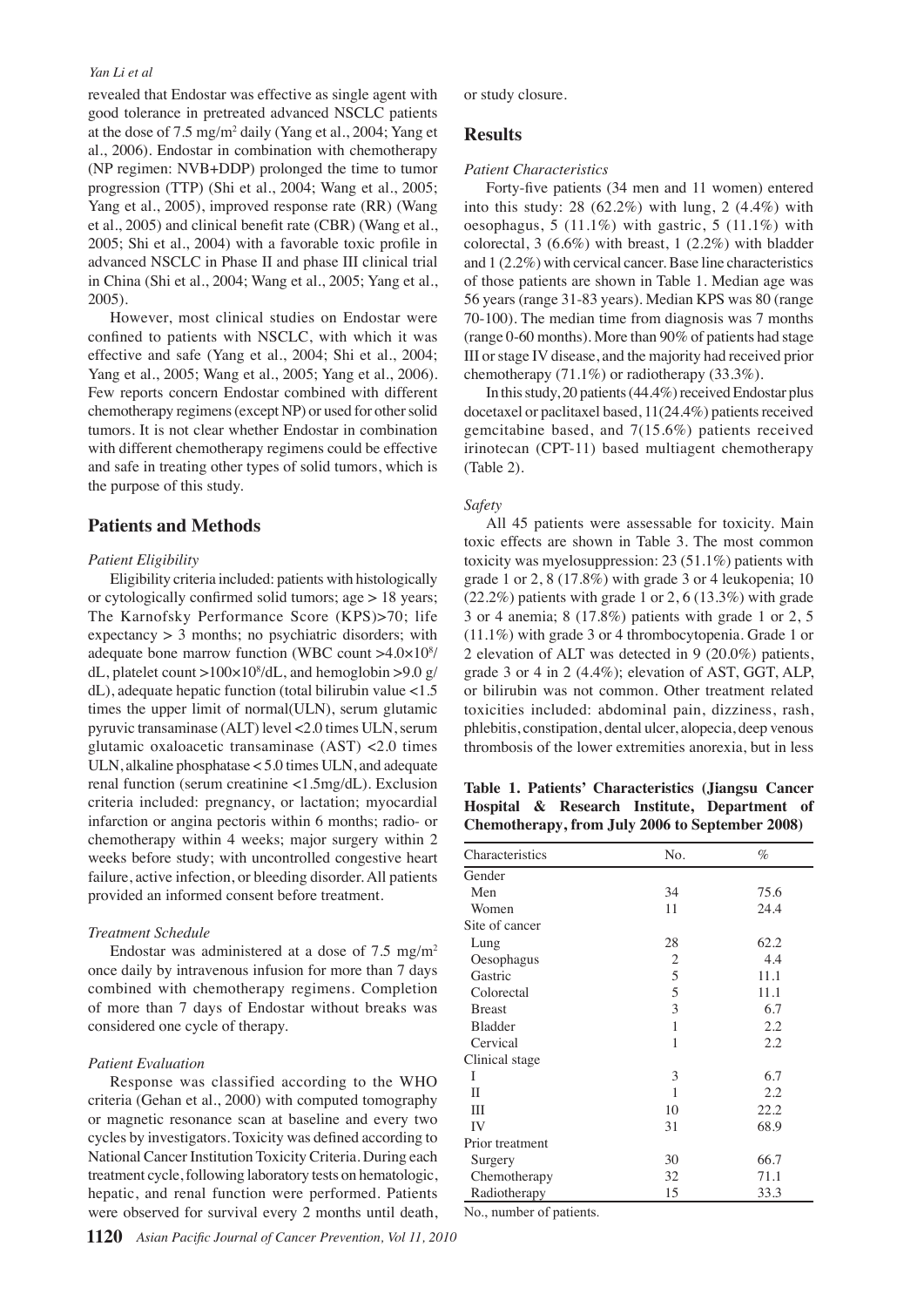#### *Yan Li et al*

revealed that Endostar was effective as single agent with good tolerance in pretreated advanced NSCLC patients at the dose of 7.5 mg/m<sup>2</sup> daily (Yang et al., 2004; Yang et al., 2006). Endostar in combination with chemotherapy (NP regimen: NVB+DDP) prolonged the time to tumor progression (TTP) (Shi et al., 2004; Wang et al., 2005; Yang et al., 2005), improved response rate (RR) (Wang et al., 2005) and clinical benefit rate (CBR) (Wang et al., 2005; Shi et al., 2004) with a favorable toxic profile in advanced NSCLC in Phase II and phase III clinical trial in China (Shi et al., 2004; Wang et al., 2005; Yang et al., 2005).

However, most clinical studies on Endostar were confined to patients with NSCLC, with which it was effective and safe (Yang et al., 2004; Shi et al., 2004; Yang et al., 2005; Wang et al., 2005; Yang et al., 2006). Few reports concern Endostar combined with different chemotherapy regimens (except NP) or used for other solid tumors. It is not clear whether Endostar in combination with different chemotherapy regimens could be effective and safe in treating other types of solid tumors, which is the purpose of this study.

## **Patients and Methods**

#### *Patient Eligibility*

Eligibility criteria included: patients with histologically or cytologically confirmed solid tumors; age > 18 years; The Karnofsky Performance Score (KPS)>70; life expectancy > 3 months; no psychiatric disorders; with adequate bone marrow function (WBC count >4.0×10<sup>8</sup>/ dL, platelet count >100×108 /dL, and hemoglobin >9.0 g/ dL), adequate hepatic function (total bilirubin value <1.5 times the upper limit of normal(ULN), serum glutamic pyruvic transaminase (ALT) level <2.0 times ULN, serum glutamic oxaloacetic transaminase (AST) <2.0 times ULN, alkaline phosphatase < 5.0 times ULN, and adequate renal function (serum creatinine <1.5mg/dL). Exclusion criteria included: pregnancy, or lactation; myocardial infarction or angina pectoris within 6 months; radio- or chemotherapy within 4 weeks; major surgery within 2 weeks before study; with uncontrolled congestive heart failure, active infection, or bleeding disorder. All patients provided an informed consent before treatment.

#### *Treatment Schedule*

Endostar was administered at a dose of  $7.5 \text{ mg/m}^2$ once daily by intravenous infusion for more than 7 days combined with chemotherapy regimens. Completion of more than 7 days of Endostar without breaks was considered one cycle of therapy.

## *Patient Evaluation*

Response was classified according to the WHO criteria (Gehan et al., 2000) with computed tomography or magnetic resonance scan at baseline and every two cycles by investigators. Toxicity was defined according to National Cancer Institution Toxicity Criteria. During each treatment cycle, following laboratory tests on hematologic, hepatic, and renal function were performed. Patients were observed for survival every 2 months until death,

or study closure.

## **Results**

#### *Patient Characteristics*

Forty-five patients (34 men and 11 women) entered into this study:  $28$  (62.2%) with lung,  $2$  (4.4%) with oesophagus, 5 (11.1%) with gastric, 5 (11.1%) with colorectal, 3 (6.6%) with breast, 1 (2.2%) with bladder and 1 (2.2%) with cervical cancer. Base line characteristics of those patients are shown in Table 1. Median age was 56 years (range 31-83 years). Median KPS was 80 (range 70-100). The median time from diagnosis was 7 months (range 0-60 months). More than 90% of patients had stage III or stage IV disease, and the majority had received prior chemotherapy (71.1%) or radiotherapy (33.3%).

In this study, 20 patients (44.4%) received Endostar plus docetaxel or paclitaxel based, 11(24.4%) patients received gemcitabine based, and 7(15.6%) patients received irinotecan (CPT-11) based multiagent chemotherapy (Table 2).

#### *Safety*

All 45 patients were assessable for toxicity. Main toxic effects are shown in Table 3. The most common toxicity was myelosuppression: 23 (51.1%) patients with grade 1 or 2, 8 (17.8%) with grade 3 or 4 leukopenia; 10 (22.2%) patients with grade 1 or 2, 6 (13.3%) with grade 3 or 4 anemia; 8 (17.8%) patients with grade 1 or 2, 5 (11.1%) with grade 3 or 4 thrombocytopenia. Grade 1 or 2 elevation of ALT was detected in 9 (20.0%) patients, grade 3 or 4 in 2 (4.4%); elevation of AST, GGT, ALP, or bilirubin was not common. Other treatment related toxicities included: abdominal pain, dizziness, rash, phlebitis, constipation, dental ulcer, alopecia, deep venous thrombosis of the lower extremities anorexia, but in less

**Table 1. Patients' Characteristics (Jiangsu Cancer Hospital & Research Institute, Department of Chemotherapy, from July 2006 to September 2008)**

| Characteristics | No. | $\%$ |
|-----------------|-----|------|
| Gender          |     |      |
| Men             | 34  | 75.6 |
| Women           | 11  | 24.4 |
| Site of cancer  |     |      |
| Lung            | 28  | 62.2 |
| Oesophagus      | 2   | 4.4  |
| Gastric         | 5   | 11.1 |
| Colorectal      | 5   | 11.1 |
| <b>Breast</b>   | 3   | 6.7  |
| Bladder         | 1   | 2.2  |
| Cervical        | 1   | 2.2  |
| Clinical stage  |     |      |
| I               | 3   | 6.7  |
| П               | 1   | 2.2  |
| Ш               | 10  | 22.2 |
| IV              | 31  | 68.9 |
| Prior treatment |     |      |
| Surgery         | 30  | 66.7 |
| Chemotherapy    | 32  | 71.1 |
| Radiotherapy    | 15  | 33.3 |

No., number of patients.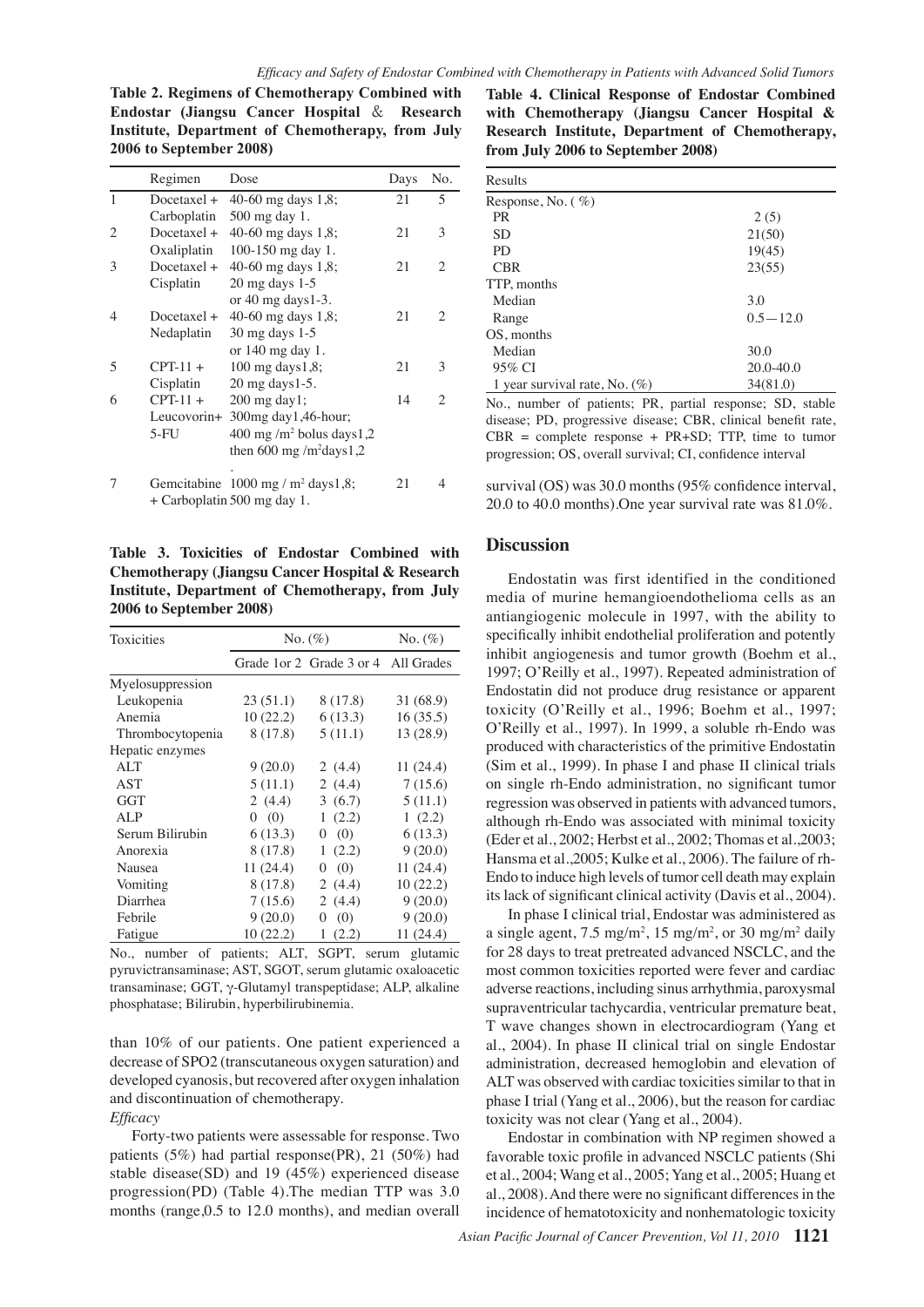**Table 2. Regimens of Chemotherapy Combined with Endostar (Jiangsu Cancer Hospital** & **Research Institute, Department of Chemotherapy, from July 2006 to September 2008)**

|              | Regimen       | Dose                                          | Days | No.                         |
|--------------|---------------|-----------------------------------------------|------|-----------------------------|
| $\mathbf{1}$ | $Docetaxel +$ | 40-60 mg days 1,8;                            | 21   | 5                           |
|              | Carboplatin   | 500 mg day 1.                                 |      |                             |
| 2            | $Docetaxel +$ | 40-60 mg days 1,8;                            | 21   | 3                           |
|              | Oxaliplatin   | $100-150$ mg day 1.                           |      |                             |
| 3            | $Docetaxel +$ | 40-60 mg days $1,8$ ;                         | 21   | 2                           |
|              | Cisplatin     | $20 \text{ mg}$ days 1-5                      |      |                             |
|              |               | or 40 mg days $1-3$ .                         |      |                             |
| 4            | $Docetaxel +$ | 40-60 mg days $1,8$ ;                         | 21   | $\mathcal{D}_{\mathcal{A}}$ |
|              | Nedaplatin    | $30 \text{ mg days} 1-5$                      |      |                             |
|              |               | or 140 mg day 1.                              |      |                             |
| 5            | $CPT-11 +$    | $100 \text{ mg days} 1.8$ ;                   | 21   | 3                           |
|              | Cisplatin     | $20$ mg days $1-5$ .                          |      |                             |
| 6            | $CPT-11 +$    | $200$ mg day $1$ ;                            | 14   | $\mathcal{D}_{\cdot}$       |
|              | Leucovorin+   | 300 mg day 1,46-hour;                         |      |                             |
|              | 5-FU          | $400 \text{ mg/m}^2$ bolus days 1,2           |      |                             |
|              |               | then 600 mg /m <sup>2</sup> days1,2           |      |                             |
|              |               |                                               |      |                             |
| 7            |               | Gemcitabine 1000 mg / m <sup>2</sup> days1,8; | 21   | 4                           |
|              |               | + Carboplatin 500 mg day 1.                   |      |                             |

**Table 3. Toxicities of Endostar Combined with Chemotherapy (Jiangsu Cancer Hospital & Research Institute, Department of Chemotherapy, from July 2006 to September 2008)**

| Toxicities       | $No. (\%)$ |                                      | $No. (\%)$ |
|------------------|------------|--------------------------------------|------------|
|                  |            | Grade 1 or 2 Grade 3 or 4 All Grades |            |
| Myelosuppression |            |                                      |            |
| Leukopenia       | 23(51.1)   | 8 (17.8)                             | 31 (68.9)  |
| Anemia           | 10(22.2)   | 6(13.3)                              | 16(35.5)   |
| Thrombocytopenia | 8(17.8)    | 5(11.1)                              | 13 (28.9)  |
| Hepatic enzymes  |            |                                      |            |
| <b>ALT</b>       | 9(20.0)    | 2(4.4)                               | 11(24.4)   |
| AST              | 5(11.1)    | 2 $(4.4)$                            | 7(15.6)    |
| <b>GGT</b>       | 2(4.4)     | 3(6.7)                               | 5(11.1)    |
| ALP              | (0)<br>0   | (2.2)<br>1                           | 1(2.2)     |
| Serum Bilirubin  | 6(13.3)    | (0)<br>0                             | 6(13.3)    |
| Anorexia         | 8 (17.8)   | (2.2)<br>1                           | 9(20.0)    |
| Nausea           | 11(24.4)   | (0)<br>0                             | 11(24.4)   |
| Vomiting         | 8 (17.8)   | 2 $(4.4)$                            | 10(22.2)   |
| Diarrhea         | 7(15.6)    | 2(4.4)                               | 9(20.0)    |
| Febrile          | 9(20.0)    | (0)<br>0                             | 9(20.0)    |
| Fatigue          | 10(22.2)   | (2.2)                                | 11(24.4)   |

No., number of patients; ALT, SGPT, serum glutamic pyruvictransaminase; AST, SGOT, serum glutamic oxaloacetic transaminase; GGT, γ-Glutamyl transpeptidase; ALP, alkaline phosphatase; Bilirubin, hyperbilirubinemia.

than 10% of our patients. One patient experienced a decrease of SPO2 (transcutaneous oxygen saturation) and developed cyanosis, but recovered after oxygen inhalation and discontinuation of chemotherapy. *Efficacy*

Forty-two patients were assessable for response. Two patients (5%) had partial response(PR), 21 (50%) had stable disease(SD) and 19 (45%) experienced disease progression(PD) (Table 4).The median TTP was 3.0 months (range,0.5 to 12.0 months), and median overall

**Table 4. Clinical Response of Endostar Combined with Chemotherapy (Jiangsu Cancer Hospital & Research Institute, Department of Chemotherapy, from July 2006 to September 2008)**

| Results                          |               |
|----------------------------------|---------------|
| Response, No. $(\% )$            |               |
| <b>PR</b>                        | 2(5)          |
| <b>SD</b>                        | 21(50)        |
| PD.                              | 19(45)        |
| <b>CBR</b>                       | 23(55)        |
| TTP, months                      |               |
| Median                           | 3.0           |
| Range                            | $0.5 - 12.0$  |
| OS, months                       |               |
| Median                           | 30.0          |
| 95% CI                           | $20.0 - 40.0$ |
| 1 year survival rate, No. $(\%)$ | 34(81.0)      |

100.0 No., number of patients; PR, partial response; SD, stable disease; PD, progressive disease; CBR, clinical benefit rate,  $CBR = complete response + PR+SD; TTP, time to tumor$ progression; OS, overall survival; CI, confidence interval

survival (OS) was 30.0 months (95% confidence interval, 20.0 to 40.0 months).One year survival rate was 81.0%.

## **Discussion**

inhibit angiogenesis and tumor growth (Boehm et al., 25.0 media of murine hemangioendothelioma cells as an 50.0 Endostatin was first identified in the conditioned antiangiogenic molecule in 1997, with the ability to specifically inhibit endothelial proliferation and potently 1997; O'Reilly et al., 1997). Repeated administration of Endostatin did not produce drug resistance or apparent toxicity (O'Reilly et al., 1996; Boehm et al., 1997; O'Reilly et al., 1997). In 1999, a soluble rh-Endo was produced with characteristics of the primitive Endostatin (Sim et al., 1999). In phase I and phase II clinical trials on single rh-Endo administration, no significant tumor regression was observed in patients with advanced tumors, although rh-Endo was associated with minimal toxicity (Eder et al., 2002; Herbst et al., 2002; Thomas et al.,2003; Hansma et al.,2005; Kulke et al., 2006). The failure of rh-Endo to induce high levels of tumor cell death may explain its lack of significant clinical activity (Davis et al., 2004).

In phase I clinical trial, Endostar was administered as a single agent,  $7.5 \text{ mg/m}^2$ ,  $15 \text{ mg/m}^2$ , or  $30 \text{ mg/m}^2$  daily for 28 days to treat pretreated advanced NSCLC, and the most common toxicities reported were fever and cardiac adverse reactions, including sinus arrhythmia, paroxysmal supraventricular tachycardia, ventricular premature beat, T wave changes shown in electrocardiogram (Yang et al., 2004). In phase II clinical trial on single Endostar administration, decreased hemoglobin and elevation of ALT was observed with cardiac toxicities similar to that in phase I trial (Yang et al., 2006), but the reason for cardiac toxicity was not clear (Yang et al., 2004).

Endostar in combination with NP regimen showed a favorable toxic profile in advanced NSCLC patients (Shi et al., 2004; Wang et al., 2005; Yang et al., 2005; Huang et al., 2008). And there were no significant differences in the incidence of hematotoxicity and nonhematologic toxicity

## 75.0

0

**20.3 6.3 10.1**

**46.8 56.3**

**38.0 31.3**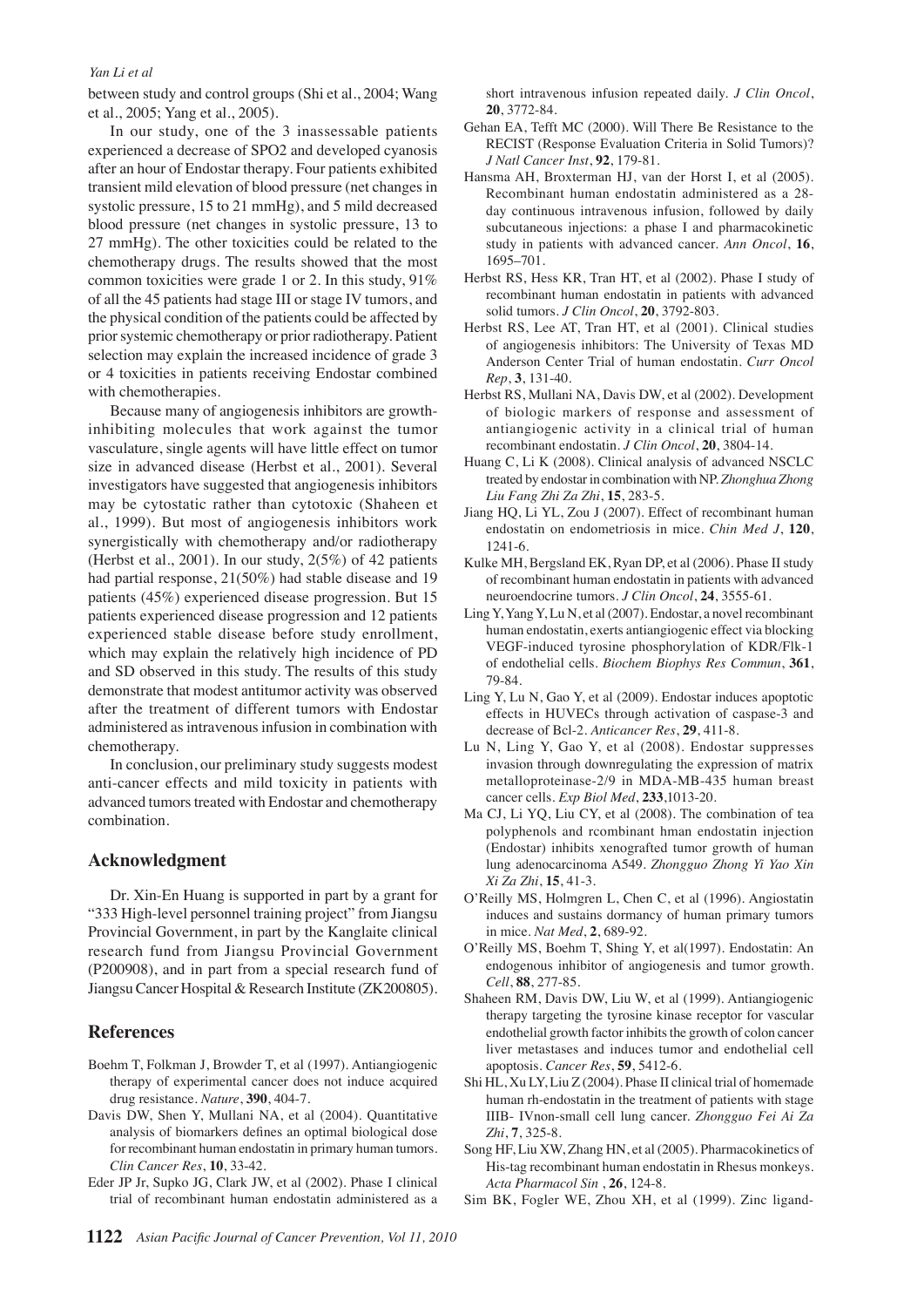#### *Yan Li et al*

between study and control groups (Shi et al., 2004; Wang et al., 2005; Yang et al., 2005).

In our study, one of the 3 inassessable patients experienced a decrease of SPO2 and developed cyanosis after an hour of Endostar therapy. Four patients exhibited transient mild elevation of blood pressure (net changes in systolic pressure, 15 to 21 mmHg), and 5 mild decreased blood pressure (net changes in systolic pressure, 13 to 27 mmHg). The other toxicities could be related to the chemotherapy drugs. The results showed that the most common toxicities were grade 1 or 2. In this study, 91% of all the 45 patients had stage III or stage IV tumors, and the physical condition of the patients could be affected by prior systemic chemotherapy or prior radiotherapy. Patient selection may explain the increased incidence of grade 3 or 4 toxicities in patients receiving Endostar combined with chemotherapies.

Because many of angiogenesis inhibitors are growthinhibiting molecules that work against the tumor vasculature, single agents will have little effect on tumor size in advanced disease (Herbst et al., 2001). Several investigators have suggested that angiogenesis inhibitors may be cytostatic rather than cytotoxic (Shaheen et al., 1999). But most of angiogenesis inhibitors work synergistically with chemotherapy and/or radiotherapy (Herbst et al., 2001). In our study, 2(5%) of 42 patients had partial response, 21(50%) had stable disease and 19 patients (45%) experienced disease progression. But 15 patients experienced disease progression and 12 patients experienced stable disease before study enrollment, which may explain the relatively high incidence of PD and SD observed in this study. The results of this study demonstrate that modest antitumor activity was observed after the treatment of different tumors with Endostar administered as intravenous infusion in combination with chemotherapy.

In conclusion, our preliminary study suggests modest anti-cancer effects and mild toxicity in patients with advanced tumors treated with Endostar and chemotherapy combination.

### **Acknowledgment**

Dr. Xin-En Huang is supported in part by a grant for "333 High-level personnel training project" from Jiangsu Provincial Government, in part by the Kanglaite clinical research fund from Jiangsu Provincial Government (P200908), and in part from a special research fund of Jiangsu Cancer Hospital & Research Institute (ZK200805).

## **References**

- Boehm T, Folkman J, Browder T, et al (1997). Antiangiogenic therapy of experimental cancer does not induce acquired drug resistance. *Nature*, **390**, 404-7.
- Davis DW, Shen Y, Mullani NA, et al (2004). Quantitative analysis of biomarkers defines an optimal biological dose for recombinant human endostatin in primary human tumors. *Clin Cancer Res*, **10**, 33-42.
- Eder JP Jr, Supko JG, Clark JW, et al (2002). Phase I clinical trial of recombinant human endostatin administered as a

short intravenous infusion repeated daily. *J Clin Oncol*, **20**, 3772-84.

- Gehan EA, Tefft MC (2000). Will There Be Resistance to the RECIST (Response Evaluation Criteria in Solid Tumors)? *J Natl Cancer Inst*, **92**, 179-81.
- Hansma AH, Broxterman HJ, van der Horst I, et al (2005). Recombinant human endostatin administered as a 28 day continuous intravenous infusion, followed by daily subcutaneous injections: a phase I and pharmacokinetic study in patients with advanced cancer. *Ann Oncol*, **16**, 1695–701.
- Herbst RS, Hess KR, Tran HT, et al (2002). Phase I study of recombinant human endostatin in patients with advanced solid tumors. *J Clin Oncol*, **20**, 3792-803.
- Herbst RS, Lee AT, Tran HT, et al (2001). Clinical studies of angiogenesis inhibitors: The University of Texas MD Anderson Center Trial of human endostatin. *Curr Oncol Rep*, **3**, 131-40.
- Herbst RS, Mullani NA, Davis DW, et al (2002). Development of biologic markers of response and assessment of antiangiogenic activity in a clinical trial of human recombinant endostatin. *J Clin Oncol*, **20**, 3804-14.
- Huang C, Li K (2008). Clinical analysis of advanced NSCLC treated by endostar in combination with NP. *Zhonghua Zhong Liu Fang Zhi Za Zhi*, **15**, 283-5.
- Jiang HQ, Li YL, Zou J (2007). Effect of recombinant human endostatin on endometriosis in mice. *Chin Med J*, **120**, 1241-6.
- Kulke MH, Bergsland EK, Ryan DP, et al (2006). Phase II study of recombinant human endostatin in patients with advanced neuroendocrine tumors. *J Clin Oncol*, **24**, 3555-61.
- Ling Y, Yang Y, Lu N, et al (2007). Endostar, a novel recombinant human endostatin, exerts antiangiogenic effect via blocking VEGF-induced tyrosine phosphorylation of KDR/Flk-1 of endothelial cells. *Biochem Biophys Res Commun*, **361**, 79-84.
- Ling Y, Lu N, Gao Y, et al (2009). Endostar induces apoptotic effects in HUVECs through activation of caspase-3 and decrease of Bcl-2. *Anticancer Res*, **29**, 411-8.
- Lu N, Ling Y, Gao Y, et al (2008). Endostar suppresses invasion through downregulating the expression of matrix metalloproteinase-2/9 in MDA-MB-435 human breast cancer cells. *Exp Biol Med*, **233**,1013-20.
- Ma CJ, Li YQ, Liu CY, et al (2008). The combination of tea polyphenols and rcombinant hman endostatin injection (Endostar) inhibits xenografted tumor growth of human lung adenocarcinoma A549. *Zhongguo Zhong Yi Yao Xin Xi Za Zhi*, **15**, 41-3.
- O'Reilly MS, Holmgren L, Chen C, et al (1996). Angiostatin induces and sustains dormancy of human primary tumors in mice. *Nat Med*, **2**, 689-92.
- O'Reilly MS, Boehm T, Shing Y, et al(1997). Endostatin: An endogenous inhibitor of angiogenesis and tumor growth. *Cell*, **88**, 277-85.
- Shaheen RM, Davis DW, Liu W, et al (1999). Antiangiogenic therapy targeting the tyrosine kinase receptor for vascular endothelial growth factor inhibits the growth of colon cancer liver metastases and induces tumor and endothelial cell apoptosis. *Cancer Res*, **59**, 5412-6.
- Shi HL, Xu LY, Liu Z (2004). Phase II clinical trial of homemade human rh-endostatin in the treatment of patients with stage IIIB- IVnon-small cell lung cancer. *Zhongguo Fei Ai Za Zhi*, **7**, 325-8.
- Song HF, Liu XW, Zhang HN, et al (2005). Pharmacokinetics of His-tag recombinant human endostatin in Rhesus monkeys. *Acta Pharmacol Sin* , **26**, 124-8.
- Sim BK, Fogler WE, Zhou XH, et al (1999). Zinc ligand-